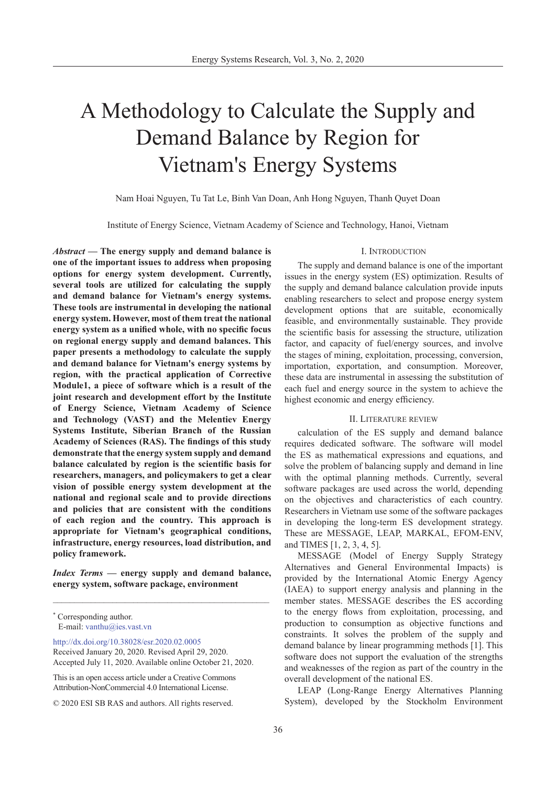# A Methodology to Calculate the Supply and Demand Balance by Region for Vietnam's Energy Systems

Nam Hoai Nguyen, Tu Tat Le, Binh Van Doan, Anh Hong Nguyen, Thanh Quyet Doan

Institute of Energy Science, Vietnam Academy of Science and Technology, Hanoi, Vietnam

*Abstract* **— The energy supply and demand balance is one of the important issues to address when proposing options for energy system development. Currently, several tools are utilized for calculating the supply and demand balance for Vietnam's energy systems. These tools are instrumental in developing the national energy system. However, most of them treat the national energy system as a unified whole, with no specific focus on regional energy supply and demand balances. This paper presents a methodology to calculate the supply and demand balance for Vietnam's energy systems by region, with the practical application of Corrective Module1, a piece of software which is a result of the joint research and development effort by the Institute of Energy Science, Vietnam Academy of Science and Technology (VAST) and the Melentiev Energy Systems Institute, Siberian Branch of the Russian Academy of Sciences (RAS). The findings of this study demonstrate that the energy system supply and demand balance calculated by region is the scientific basis for researchers, managers, and policymakers to get a clear vision of possible energy system development at the national and regional scale and to provide directions and policies that are consistent with the conditions of each region and the country. This approach is appropriate for Vietnam's geographical conditions, infrastructure, energy resources, load distribution, and policy framework.**

*Index Terms* **— energy supply and demand balance, energy system, software package, environment**

\_\_\_\_\_\_\_\_\_\_\_\_\_\_\_\_\_\_\_\_\_\_\_\_\_\_\_\_\_\_\_\_\_\_\_\_\_\_\_\_\_\_\_\_\_\_\_\_\_\_\_

[http://dx.doi.org/10.38028/esr.2020.02.000](http://dx.doi.org/10.38028/esr.2020.02.0005)5 Received January 20, 2020. Revised April 29, 2020. Accepted July 11, 2020. Available online October 21, 2020.

This is an open access article under a Creative Commons Attribution-NonCommercial 4.0 International License.

© 2020 ESI SB RAS and authors. All rights reserved.

### I. Introduction

The supply and demand balance is one of the important issues in the energy system (ES) optimization. Results of the supply and demand balance calculation provide inputs enabling researchers to select and propose energy system development options that are suitable, economically feasible, and environmentally sustainable. They provide the scientific basis for assessing the structure, utilization factor, and capacity of fuel/energy sources, and involve the stages of mining, exploitation, processing, conversion, importation, exportation, and consumption. Moreover, these data are instrumental in assessing the substitution of each fuel and energy source in the system to achieve the highest economic and energy efficiency.

# II. Literature review

calculation of the ES supply and demand balance requires dedicated software. The software will model the ES as mathematical expressions and equations, and solve the problem of balancing supply and demand in line with the optimal planning methods. Currently, several software packages are used across the world, depending on the objectives and characteristics of each country. Researchers in Vietnam use some of the software packages in developing the long-term ES development strategy. These are MESSAGE, LEAP, MARKAL, EFOM-ENV, and TIMES [1, 2, 3, 4, 5].

MESSAGE (Model of Energy Supply Strategy Alternatives and General Environmental Impacts) is provided by the International Atomic Energy Agency (IAEA) to support energy analysis and planning in the member states. MESSAGE describes the ES according to the energy flows from exploitation, processing, and production to consumption as objective functions and constraints. It solves the problem of the supply and demand balance by linear programming methods [1]. This software does not support the evaluation of the strengths and weaknesses of the region as part of the country in the overall development of the national ES.

LEAP (Long-Range Energy Alternatives Planning System), developed by the Stockholm Environment

<sup>\*</sup> Corresponding author. E-mail: vanthu@ies.vast.v[n](mailto:vanthu%40ies.vast.vn?subject=)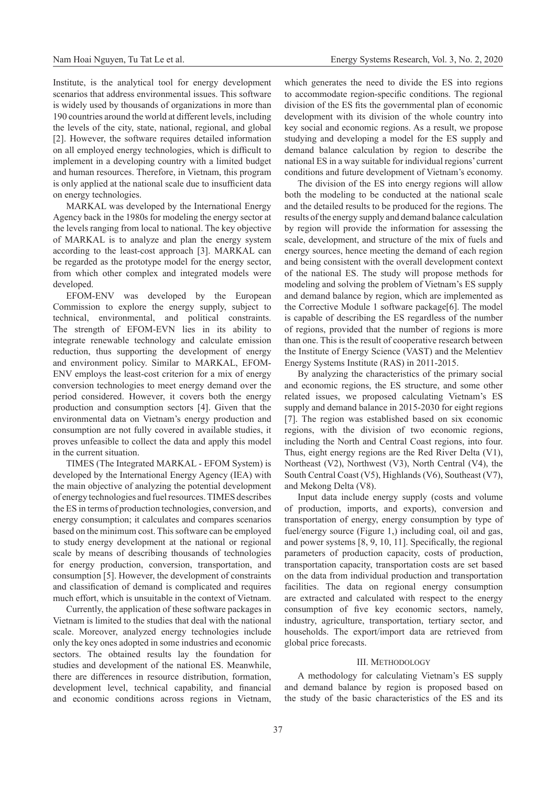Institute, is the analytical tool for energy development scenarios that address environmental issues. This software is widely used by thousands of organizations in more than 190 countries around the world at different levels, including the levels of the city, state, national, regional, and global [2]. However, the software requires detailed information on all employed energy technologies, which is difficult to implement in a developing country with a limited budget and human resources. Therefore, in Vietnam, this program is only applied at the national scale due to insufficient data on energy technologies.

MARKAL was developed by the International Energy Agency back in the 1980s for modeling the energy sector at the levels ranging from local to national. The key objective of MARKAL is to analyze and plan the energy system according to the least-cost approach [3]. MARKAL can be regarded as the prototype model for the energy sector, from which other complex and integrated models were developed.

EFOM-ENV was developed by the European Commission to explore the energy supply, subject to technical, environmental, and political constraints. The strength of EFOM-EVN lies in its ability to integrate renewable technology and calculate emission reduction, thus supporting the development of energy and environment policy. Similar to MARKAL, EFOM-ENV employs the least-cost criterion for a mix of energy conversion technologies to meet energy demand over the period considered. However, it covers both the energy production and consumption sectors [4]. Given that the environmental data on Vietnam's energy production and consumption are not fully covered in available studies, it proves unfeasible to collect the data and apply this model in the current situation.

TIMES (The Integrated MARKAL - EFOM System) is developed by the International Energy Agency (IEA) with the main objective of analyzing the potential development of energy technologies and fuel resources. TIMES describes the ES in terms of production technologies, conversion, and energy consumption; it calculates and compares scenarios based on the minimum cost. This software can be employed to study energy development at the national or regional scale by means of describing thousands of technologies for energy production, conversion, transportation, and consumption [5]. However, the development of constraints and classification of demand is complicated and requires much effort, which is unsuitable in the context of Vietnam.

Currently, the application of these software packages in Vietnam is limited to the studies that deal with the national scale. Moreover, analyzed energy technologies include only the key ones adopted in some industries and economic sectors. The obtained results lay the foundation for studies and development of the national ES. Meanwhile, there are differences in resource distribution, formation, development level, technical capability, and financial and economic conditions across regions in Vietnam,

which generates the need to divide the ES into regions to accommodate region-specific conditions. The regional division of the ES fits the governmental plan of economic development with its division of the whole country into key social and economic regions. As a result, we propose studying and developing a model for the ES supply and demand balance calculation by region to describe the national ES in a way suitable for individual regions' current conditions and future development of Vietnam's economy.

The division of the ES into energy regions will allow both the modeling to be conducted at the national scale and the detailed results to be produced for the regions. The results of the energy supply and demand balance calculation by region will provide the information for assessing the scale, development, and structure of the mix of fuels and energy sources, hence meeting the demand of each region and being consistent with the overall development context of the national ES. The study will propose methods for modeling and solving the problem of Vietnam's ES supply and demand balance by region, which are implemented as the Corrective Module 1 software package[6]. The model is capable of describing the ES regardless of the number of regions, provided that the number of regions is more than one. This is the result of cooperative research between the Institute of Energy Science (VAST) and the Melentiev Energy Systems Institute (RAS) in 2011-2015.

By analyzing the characteristics of the primary social and economic regions, the ES structure, and some other related issues, we proposed calculating Vietnam's ES supply and demand balance in 2015-2030 for eight regions [7]. The region was established based on six economic regions, with the division of two economic regions, including the North and Central Coast regions, into four. Thus, eight energy regions are the Red River Delta (V1), Northeast (V2), Northwest (V3), North Central (V4), the South Central Coast (V5), Highlands (V6), Southeast (V7), and Mekong Delta (V8).

Input data include energy supply (costs and volume of production, imports, and exports), conversion and transportation of energy, energy consumption by type of fuel/energy source (Figure 1,) including coal, oil and gas, and power systems [8, 9, 10, 11]. Specifically, the regional parameters of production capacity, costs of production, transportation capacity, transportation costs are set based on the data from individual production and transportation facilities. The data on regional energy consumption are extracted and calculated with respect to the energy consumption of five key economic sectors, namely, industry, agriculture, transportation, tertiary sector, and households. The export/import data are retrieved from global price forecasts.

## III. Methodology

A methodology for calculating Vietnam's ES supply and demand balance by region is proposed based on the study of the basic characteristics of the ES and its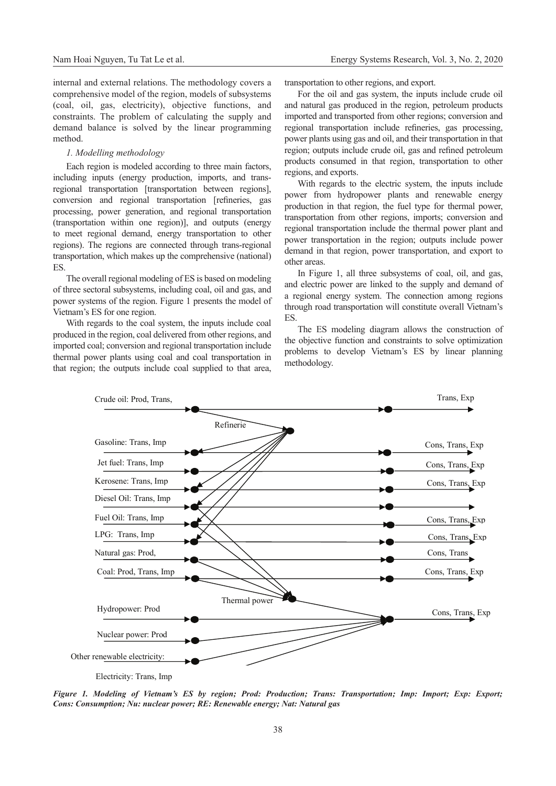internal and external relations. The methodology covers a comprehensive model of the region, models of subsystems (coal, oil, gas, electricity), objective functions, and constraints. The problem of calculating the supply and demand balance is solved by the linear programming method.

# *1. Modelling methodology*

Each region is modeled according to three main factors, including inputs (energy production, imports, and transregional transportation [transportation between regions], conversion and regional transportation [refineries, gas processing, power generation, and regional transportation (transportation within one region)], and outputs (energy to meet regional demand, energy transportation to other regions). The regions are connected through trans-regional transportation, which makes up the comprehensive (national) ES.

The overall regional modeling of ES is based on modeling of three sectoral subsystems, including coal, oil and gas, and power systems of the region. Figure 1 presents the model of Vietnam's ES for one region.

With regards to the coal system, the inputs include coal produced in the region, coal delivered from other regions, and imported coal; conversion and regional transportation include thermal power plants using coal and coal transportation in that region; the outputs include coal supplied to that area, transportation to other regions, and export.

For the oil and gas system, the inputs include crude oil and natural gas produced in the region, petroleum products imported and transported from other regions; conversion and regional transportation include refineries, gas processing, power plants using gas and oil, and their transportation in that region; outputs include crude oil, gas and refined petroleum products consumed in that region, transportation to other regions, and exports.

With regards to the electric system, the inputs include power from hydropower plants and renewable energy production in that region, the fuel type for thermal power, transportation from other regions, imports; conversion and regional transportation include the thermal power plant and power transportation in the region; outputs include power demand in that region, power transportation, and export to other areas.

In Figure 1, all three subsystems of coal, oil, and gas, and electric power are linked to the supply and demand of a regional energy system. The connection among regions through road transportation will constitute overall Vietnam's ES.

The ES modeling diagram allows the construction of the objective function and constraints to solve optimization problems to develop Vietnam's ES by linear planning methodology.



*Figure 1. Modeling of Vietnam's ES by region; Prod: Production; Trans: Transportation; Imp: Import; Exp: Export; Cons: Consumption; Nu: nuclear power; RE: Renewable energy; Nat: Natural gas*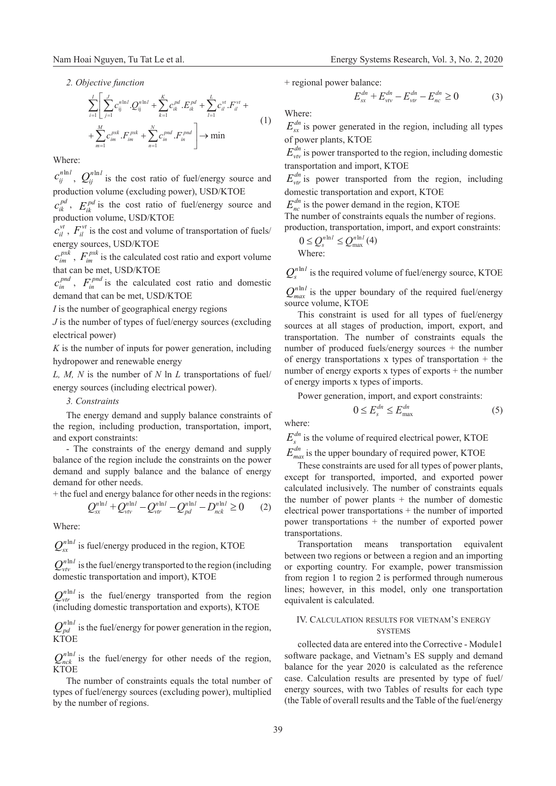$$
\sum_{i=1}^{I} \left[ \sum_{j=1}^{J} c_{ij}^{n!n!} \cdot Q_{ij}^{n!n!} + \sum_{k=1}^{K} c_{ik}^{pd} \cdot E_{ik}^{pd} + \sum_{l=1}^{L} c_{il}^{vt} \cdot F_{il}^{vt} + \text{Where:}
$$
\n
$$
+ \sum_{m=1}^{M} c_{im}^{pxk} \cdot F_{im}^{pxk} + \sum_{n=1}^{N} c_{in}^{pnd} \cdot F_{in}^{pnd} \right] \rightarrow \min
$$
\n(1)\n
$$
+ \sum_{m=1}^{M} c_{im}^{pxk} \cdot F_{im}^{pxk} + \sum_{n=1}^{N} c_{in}^{pnd} \cdot F_{in}^{md} \right] \rightarrow \min
$$
\n(2)

Where:

 $c_{ij}^{n \ln l}$ ,  $Q_{ij}^{n \ln l}$  is the cost ratio of fuel/energy source and production volume (excluding power), USD/KTOE

 $c_{ik}^{pd}$ ,  $E_{ik}^{pd}$  is the cost ratio of fuel/energy source and production volume, USD/KTOE

 $c_{il}^{\nu t}$ ,  $F_{il}^{\nu t}$  is the cost and volume of transportation of fuels/ energy sources, USD/KTOE

 $c_{im}^{pxk}$ ,  $F_{im}^{pxk}$  is the calculated cost ratio and export volume that can be met, USD/KTOE

 $c_{in}^{pnd}$ ,  $F_{in}^{pnd}$  is the calculated cost ratio and domestic demand that can be met, USD/KTOE

*I* is the number of geographical energy regions

*J* is the number of types of fuel/energy sources (excluding electrical power)

*K* is the number of inputs for power generation, including hydropower and renewable energy

*L, M, N* is the number of *N* ln *L* transportations of fuel/ energy sources (including electrical power).

# *3. Constraints*

The energy demand and supply balance constraints of the region, including production, transportation, import, and export constraints:

- The constraints of the energy demand and supply balance of the region include the constraints on the power demand and supply balance and the balance of energy demand for other needs.

+ the fuel and energy balance for other needs in the regions:

$$
Q_{sx}^{n\ln l} + Q_{vv}^{n\ln l} - Q_{vr}^{n\ln l} - Q_{pd}^{n\ln l} - D_{nck}^{n\ln l} \ge 0 \qquad (2)
$$

Where:

 $Q_{\rm cr}^{n \ln l}$  is fuel/energy produced in the region, KTOE

 $Q_{vv}^{n \ln l}$  is the fuel/energy transported to the region (including domestic transportation and import), KTOE

 $Q_{\text{vir}}^{\text{n} \ln l}$  is the fuel/energy transported from the region (including domestic transportation and exports), KTOE

 $Q_{pd}^{n \ln l}$  is the fuel/energy for power generation in the region, **KTOE** 

 $Q_{nck}^{n \ln l}$  is the fuel/energy for other needs of the region, KTOE

The number of constraints equals the total number of types of fuel/energy sources (excluding power), multiplied by the number of regions.

+ regional power balance:

$$
E_{sx}^{dn} + E_{vv}^{dn} - E_{vr}^{dn} - E_{nc}^{dn} \ge 0
$$
 (3)

 $E_{\rm cr}^{dn}$  is power generated in the region, including all types of power plants, KTOE

 $E_{\nu\nu}^{dn}$  is power transported to the region, including domestic transportation and import, KTOE

 $E_{\nu r}^{dn}$  is power transported from the region, including domestic transportation and export, KTOE

 $E_{nc}^{dn}$  is the power demand in the region, KTOE

The number of constraints equals the number of regions. production, transportation, import, and export constraints:

$$
0 \le Q_s^{n \ln l} \le Q_{\text{max}}^{n \ln l} (4)
$$
  
Where:

 $Q_{n}^{n \ln l}$  is the required volume of fuel/energy source, KTOE

 $Q_{max}^{n \ln l}$  is the upper boundary of the required fuel/energy source volume, KTOE

This constraint is used for all types of fuel/energy sources at all stages of production, import, export, and transportation. The number of constraints equals the number of produced fuels/energy sources + the number of energy transportations x types of transportation + the number of energy exports x types of exports + the number of energy imports x types of imports.

Power generation, import, and export constraints:

$$
0 \le E_s^{dn} \le E_{\text{max}}^{dn} \tag{5}
$$

where:

 $E_s^{dn}$  is the volume of required electrical power, KTOE

 $E_{max}^{dn}$  is the upper boundary of required power, KTOE

These constraints are used for all types of power plants, except for transported, imported, and exported power calculated inclusively. The number of constraints equals the number of power plants  $+$  the number of domestic electrical power transportations + the number of imported power transportations + the number of exported power transportations.

Transportation means transportation equivalent between two regions or between a region and an importing or exporting country. For example, power transmission from region 1 to region 2 is performed through numerous lines; however, in this model, only one transportation equivalent is calculated.

# IV. Calculation results for vietnam's energy **SYSTEMS**

collected data are entered into the Corrective - Module1 software package, and Vietnam's ES supply and demand balance for the year 2020 is calculated as the reference case. Calculation results are presented by type of fuel/ energy sources, with two Tables of results for each type (the Table of overall results and the Table of the fuel/energy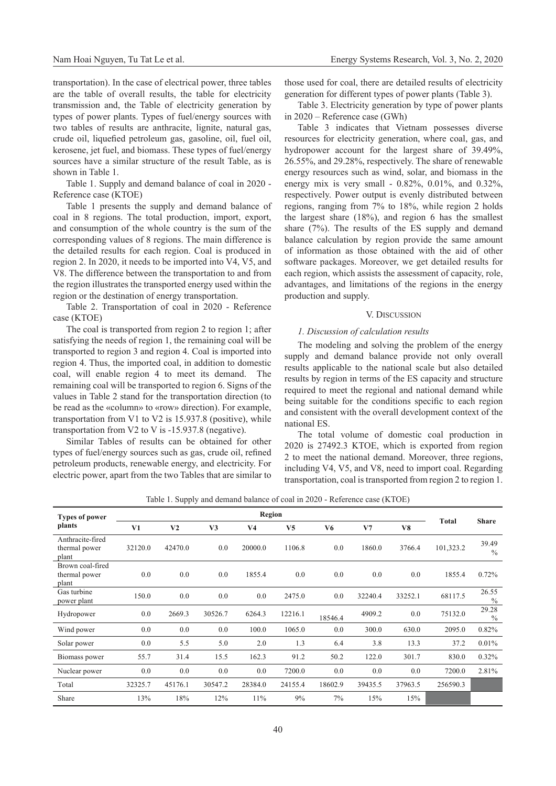transportation). In the case of electrical power, three tables are the table of overall results, the table for electricity transmission and, the Table of electricity generation by types of power plants. Types of fuel/energy sources with two tables of results are anthracite, lignite, natural gas, crude oil, liquefied petroleum gas, gasoline, oil, fuel oil, kerosene, jet fuel, and biomass. These types of fuel/energy sources have a similar structure of the result Table, as is shown in Table 1.

Table 1. Supply and demand balance of coal in 2020 - Reference case (KTOE)

Table 1 presents the supply and demand balance of coal in 8 regions. The total production, import, export, and consumption of the whole country is the sum of the corresponding values of 8 regions. The main difference is the detailed results for each region. Coal is produced in region 2. In 2020, it needs to be imported into V4, V5, and V8. The difference between the transportation to and from the region illustrates the transported energy used within the region or the destination of energy transportation.

Table 2. Transportation of coal in 2020 - Reference case (KTOE)

The coal is transported from region 2 to region 1; after satisfying the needs of region 1, the remaining coal will be transported to region 3 and region 4. Coal is imported into region 4. Thus, the imported coal, in addition to domestic coal, will enable region 4 to meet its demand. The remaining coal will be transported to region 6. Signs of the values in Table 2 stand for the transportation direction (to be read as the «column» to «row» direction). For example, transportation from V1 to V2 is 15.937.8 (positive), while transportation from V2 to V is -15.937.8 (negative).

Similar Tables of results can be obtained for other types of fuel/energy sources such as gas, crude oil, refined petroleum products, renewable energy, and electricity. For electric power, apart from the two Tables that are similar to those used for coal, there are detailed results of electricity generation for different types of power plants (Table 3).

Table 3. Electricity generation by type of power plants in 2020 – Reference case (GWh)

Table 3 indicates that Vietnam possesses diverse resources for electricity generation, where coal, gas, and hydropower account for the largest share of 39.49%, 26.55%, and 29.28%, respectively. The share of renewable energy resources such as wind, solar, and biomass in the energy mix is very small - 0.82%, 0.01%, and 0.32%, respectively. Power output is evenly distributed between regions, ranging from 7% to 18%, while region 2 holds the largest share (18%), and region 6 has the smallest share (7%). The results of the ES supply and demand balance calculation by region provide the same amount of information as those obtained with the aid of other software packages. Moreover, we get detailed results for each region, which assists the assessment of capacity, role, advantages, and limitations of the regions in the energy production and supply.

# V. Discussion

# *1. Discussion of calculation results*

The modeling and solving the problem of the energy supply and demand balance provide not only overall results applicable to the national scale but also detailed results by region in terms of the ES capacity and structure required to meet the regional and national demand while being suitable for the conditions specific to each region and consistent with the overall development context of the national ES.

The total volume of domestic coal production in 2020 is 27492.3 KTOE, which is exported from region 2 to meet the national demand. Moreover, three regions, including V4, V5, and V8, need to import coal. Regarding transportation, coal is transported from region 2 to region 1.

| raone 1. Bupply und demand buildings of cour in 2020<br>$\frac{1}{2}$ |         |                |         |                |         |         |         |         |           |                        |
|-----------------------------------------------------------------------|---------|----------------|---------|----------------|---------|---------|---------|---------|-----------|------------------------|
| <b>Types of power</b><br>plants                                       | Region  |                |         |                |         |         |         |         |           |                        |
|                                                                       | V1      | V <sub>2</sub> | V3      | V <sub>4</sub> | V5      | V6      | V7      | V8      | Total     | <b>Share</b>           |
| Anthracite-fired<br>thermal power<br>plant                            | 32120.0 | 42470.0        | 0.0     | 20000.0        | 1106.8  | 0.0     | 1860.0  | 3766.4  | 101,323.2 | 39.49<br>$\frac{0}{0}$ |
| Brown coal-fired<br>thermal power<br>plant                            | 0.0     | 0.0            | 0.0     | 1855.4         | 0.0     | 0.0     | 0.0     | 0.0     | 1855.4    | 0.72%                  |
| Gas turbine<br>power plant                                            | 150.0   | 0.0            | 0.0     | 0.0            | 2475.0  | 0.0     | 32240.4 | 33252.1 | 68117.5   | 26.55<br>$\%$          |
| Hydropower                                                            | 0.0     | 2669.3         | 30526.7 | 6264.3         | 12216.1 | 18546.4 | 4909.2  | 0.0     | 75132.0   | 29.28<br>$\frac{0}{0}$ |
| Wind power                                                            | 0.0     | 0.0            | 0.0     | 100.0          | 1065.0  | 0.0     | 300.0   | 630.0   | 2095.0    | 0.82%                  |
| Solar power                                                           | 0.0     | 5.5            | 5.0     | 2.0            | 1.3     | 6.4     | 3.8     | 13.3    | 37.2      | 0.01%                  |
| Biomass power                                                         | 55.7    | 31.4           | 15.5    | 162.3          | 91.2    | 50.2    | 122.0   | 301.7   | 830.0     | 0.32%                  |
| Nuclear power                                                         | 0.0     | 0.0            | 0.0     | 0.0            | 7200.0  | 0.0     | 0.0     | 0.0     | 7200.0    | 2.81%                  |
| Total                                                                 | 32325.7 | 45176.1        | 30547.2 | 28384.0        | 24155.4 | 18602.9 | 39435.5 | 37963.5 | 256590.3  |                        |
| Share                                                                 | 13%     | 18%            | 12%     | 11%            | 9%      | 7%      | 15%     | 15%     |           |                        |

Table 1. Supply and demand balance of coal in 2020 - Reference case (KTOE)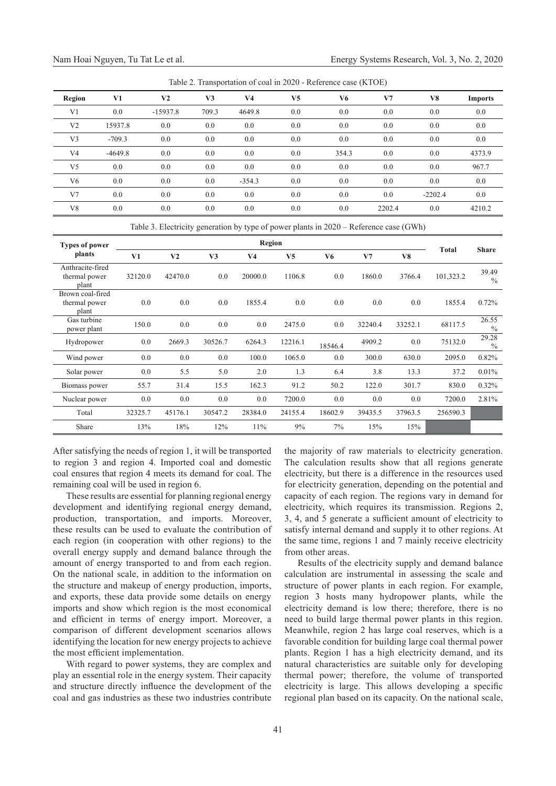| Table 2. Transportation of coal in 2020 - Reference case (KTOE) |           |            |       |          |                |       |        |           |                |  |
|-----------------------------------------------------------------|-----------|------------|-------|----------|----------------|-------|--------|-----------|----------------|--|
| Region                                                          | V1        | V2         | V3    | V4       | V <sub>5</sub> | V6    | V7     | V8        | <b>Imports</b> |  |
| V1                                                              | 0.0       | $-15937.8$ | 709.3 | 4649.8   | 0.0            | 0.0   | 0.0    | 0.0       | $0.0\,$        |  |
| V <sub>2</sub>                                                  | 15937.8   | 0.0        | 0.0   | 0.0      | 0.0            | 0.0   | 0.0    | 0.0       | $0.0\,$        |  |
| V3                                                              | $-709.3$  | 0.0        | 0.0   | 0.0      | 0.0            | 0.0   | 0.0    | 0.0       | $0.0\,$        |  |
| V4                                                              | $-4649.8$ | 0.0        | 0.0   | 0.0      | 0.0            | 354.3 | 0.0    | 0.0       | 4373.9         |  |
| V5                                                              | 0.0       | 0.0        | 0.0   | 0.0      | 0.0            | 0.0   | 0.0    | 0.0       | 967.7          |  |
| V6                                                              | 0.0       | 0.0        | 0.0   | $-354.3$ | 0.0            | 0.0   | 0.0    | 0.0       | $0.0\,$        |  |
| V <sub>7</sub>                                                  | 0.0       | 0.0        | 0.0   | 0.0      | 0.0            | 0.0   | 0.0    | $-2202.4$ | $0.0\,$        |  |
| V8                                                              | 0.0       | 0.0        | 0.0   | 0.0      | 0.0            | 0.0   | 2202.4 | 0.0       | 4210.2         |  |

 $T<sub>1</sub>$  1.1.  $\Delta$   $T<sub>2</sub>$  in  $\Delta$  in  $\Delta$  in  $\Delta$  in  $\Delta$  in  $\Delta$  in  $\Delta$  in  $\Delta$  in  $\Delta$  in  $\Delta$  in  $\Delta$  in  $\Delta$  in  $\Delta$  in  $\Delta$  in  $\Delta$  in  $\Delta$  in  $\Delta$  in  $\Delta$  in  $\Delta$  in  $\Delta$  in  $\Delta$  in  $\Delta$  in  $\Delta$  in  $\Delta$  in  $\$ 

Table 3. Electricity generation by type of power plants in 2020 – Reference case (GWh)

| <b>Types of power</b><br>plants            | Region  |                |                |                |                |         |                |         |           |                        |
|--------------------------------------------|---------|----------------|----------------|----------------|----------------|---------|----------------|---------|-----------|------------------------|
|                                            | V1      | V <sub>2</sub> | V <sub>3</sub> | V <sub>4</sub> | V <sub>5</sub> | V6      | V <sub>7</sub> | V8      | Total     | <b>Share</b>           |
| Anthracite-fired<br>thermal power<br>plant | 32120.0 | 42470.0        | 0.0            | 20000.0        | 1106.8         | 0.0     | 1860.0         | 3766.4  | 101,323.2 | 39.49<br>$\frac{0}{0}$ |
| Brown coal-fired<br>thermal power<br>plant | 0.0     | 0.0            | 0.0            | 1855.4         | 0.0            | 0.0     | 0.0            | 0.0     | 1855.4    | 0.72%                  |
| Gas turbine<br>power plant                 | 150.0   | 0.0            | 0.0            | 0.0            | 2475.0         | 0.0     | 32240.4        | 33252.1 | 68117.5   | 26.55<br>$\frac{0}{0}$ |
| Hydropower                                 | 0.0     | 2669.3         | 30526.7        | 6264.3         | 12216.1        | 18546.4 | 4909.2         | $0.0\,$ | 75132.0   | 29.28<br>$\frac{0}{0}$ |
| Wind power                                 | 0.0     | 0.0            | 0.0            | 100.0          | 1065.0         | 0.0     | 300.0          | 630.0   | 2095.0    | 0.82%                  |
| Solar power                                | 0.0     | 5.5            | 5.0            | 2.0            | 1.3            | 6.4     | 3.8            | 13.3    | 37.2      | 0.01%                  |
| Biomass power                              | 55.7    | 31.4           | 15.5           | 162.3          | 91.2           | 50.2    | 122.0          | 301.7   | 830.0     | 0.32%                  |
| Nuclear power                              | 0.0     | 0.0            | 0.0            | 0.0            | 7200.0         | 0.0     | 0.0            | 0.0     | 7200.0    | 2.81%                  |
| Total                                      | 32325.7 | 45176.1        | 30547.2        | 28384.0        | 24155.4        | 18602.9 | 39435.5        | 37963.5 | 256590.3  |                        |
| Share                                      | 13%     | 18%            | 12%            | 11%            | 9%             | 7%      | 15%            | 15%     |           |                        |

After satisfying the needs of region 1, it will be transported to region 3 and region 4. Imported coal and domestic coal ensures that region 4 meets its demand for coal. The remaining coal will be used in region 6.

These results are essential for planning regional energy development and identifying regional energy demand, production, transportation, and imports. Moreover, these results can be used to evaluate the contribution of each region (in cooperation with other regions) to the overall energy supply and demand balance through the amount of energy transported to and from each region. On the national scale, in addition to the information on the structure and makeup of energy production, imports, and exports, these data provide some details on energy imports and show which region is the most economical and efficient in terms of energy import. Moreover, a comparison of different development scenarios allows identifying the location for new energy projects to achieve the most efficient implementation.

With regard to power systems, they are complex and play an essential role in the energy system. Their capacity and structure directly influence the development of the coal and gas industries as these two industries contribute the majority of raw materials to electricity generation. The calculation results show that all regions generate electricity, but there is a difference in the resources used for electricity generation, depending on the potential and capacity of each region. The regions vary in demand for electricity, which requires its transmission. Regions 2, 3, 4, and 5 generate a sufficient amount of electricity to satisfy internal demand and supply it to other regions. At the same time, regions 1 and 7 mainly receive electricity from other areas.

Results of the electricity supply and demand balance calculation are instrumental in assessing the scale and structure of power plants in each region. For example, region 3 hosts many hydropower plants, while the electricity demand is low there; therefore, there is no need to build large thermal power plants in this region. Meanwhile, region 2 has large coal reserves, which is a favorable condition for building large coal thermal power plants. Region 1 has a high electricity demand, and its natural characteristics are suitable only for developing thermal power; therefore, the volume of transported electricity is large. This allows developing a specific regional plan based on its capacity. On the national scale,